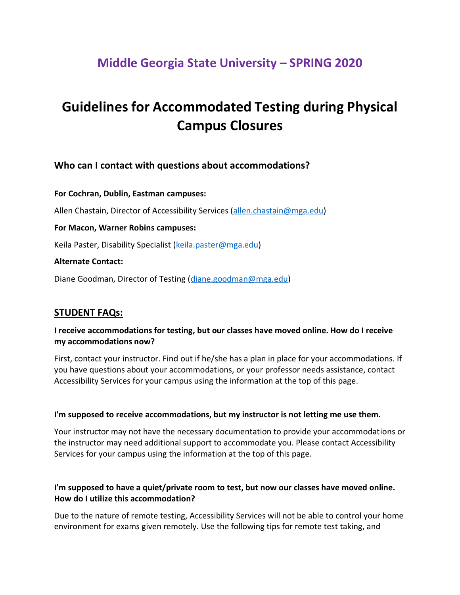# **Middle Georgia State University – SPRING 2020**

# **Guidelines for Accommodated Testing during Physical Campus Closures**

# **Who can I contact with questions about accommodations?**

**For Cochran, Dublin, Eastman campuses:** Allen Chastain, Director of Accessibility Services [\(allen.chastain@mga.edu\)](mailto:allen.chastain@mga.edu) **For Macon, Warner Robins campuses:**  Keila Paster, Disability Specialist [\(keila.paster@mga.edu\)](mailto:keila.paster@mga.edu) **Alternate Contact:** 

Diane Goodman, Director of Testing [\(diane.goodman@mga.edu\)](mailto:diane.goodman@mga.edu)

#### **STUDENT FAQs:**

#### **I receive accommodations for testing, but our classes have moved online. How do I receive my accommodations now?**

First, contact your instructor. Find out if he/she has a plan in place for your accommodations. If you have questions about your accommodations, or your professor needs assistance, contact Accessibility Services for your campus using the information at the top of this page.

#### **I'm supposed to receive accommodations, but my instructor is not letting me use them.**

Your instructor may not have the necessary documentation to provide your accommodations or the instructor may need additional support to accommodate you. Please contact Accessibility Services for your campus using the information at the top of this page.

#### **I'm supposed to have a quiet/private room to test, but now our classes have moved online. How do I utilize this accommodation?**

Due to the nature of remote testing, Accessibility Services will not be able to control your home environment for exams given remotely. Use the following tips for remote test taking, and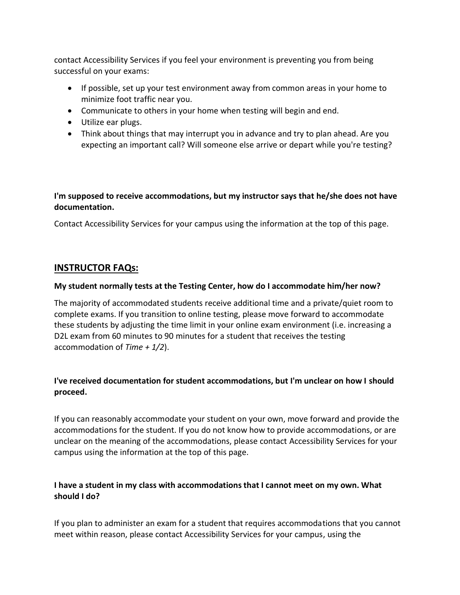contact Accessibility Services if you feel your environment is preventing you from being successful on your exams:

- If possible, set up your test environment away from common areas in your home to minimize foot traffic near you.
- Communicate to others in your home when testing will begin and end.
- Utilize ear plugs.
- Think about things that may interrupt you in advance and try to plan ahead. Are you expecting an important call? Will someone else arrive or depart while you're testing?

#### **I'm supposed to receive accommodations, but my instructor says that he/she does not have documentation.**

Contact Accessibility Services for your campus using the information at the top of this page.

# **INSTRUCTOR FAQs:**

#### **My student normally tests at the Testing Center, how do I accommodate him/her now?**

The majority of accommodated students receive additional time and a private/quiet room to complete exams. If you transition to online testing, please move forward to accommodate these students by adjusting the time limit in your online exam environment (i.e. increasing a D2L exam from 60 minutes to 90 minutes for a student that receives the testing accommodation of *Time + 1/2*).

# **I've received documentation for student accommodations, but I'm unclear on how I should proceed.**

If you can reasonably accommodate your student on your own, move forward and provide the accommodations for the student. If you do not know how to provide accommodations, or are unclear on the meaning of the accommodations, please contact Accessibility Services for your campus using the information at the top of this page.

# **I have a student in my class with accommodations that I cannot meet on my own. What should I do?**

If you plan to administer an exam for a student that requires accommodations that you cannot meet within reason, please contact Accessibility Services for your campus, using the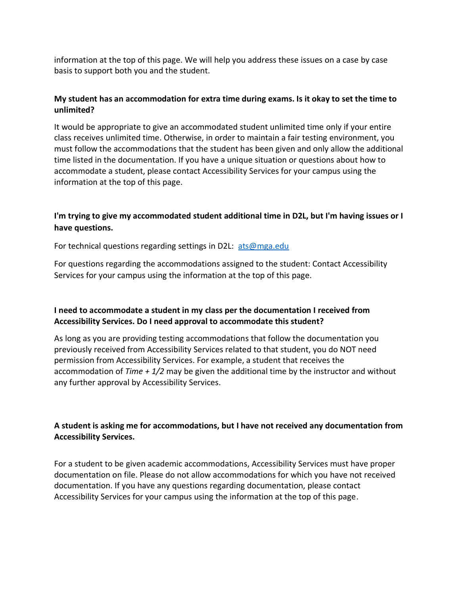information at the top of this page. We will help you address these issues on a case by case basis to support both you and the student.

#### **My student has an accommodation for extra time during exams. Is it okay to set the time to unlimited?**

It would be appropriate to give an accommodated student unlimited time only if your entire class receives unlimited time. Otherwise, in order to maintain a fair testing environment, you must follow the accommodations that the student has been given and only allow the additional time listed in the documentation. If you have a unique situation or questions about how to accommodate a student, please contact Accessibility Services for your campus using the information at the top of this page.

# **I'm trying to give my accommodated student additional time in D2L, but I'm having issues or I have questions.**

For technical questions regarding settings in D2L: [ats@mga.edu](mailto:ats@mga.edu)

For questions regarding the accommodations assigned to the student: Contact Accessibility Services for your campus using the information at the top of this page.

#### **I need to accommodate a student in my class per the documentation I received from Accessibility Services. Do I need approval to accommodate this student?**

As long as you are providing testing accommodations that follow the documentation you previously received from Accessibility Services related to that student, you do NOT need permission from Accessibility Services. For example, a student that receives the accommodation of *Time + 1/2* may be given the additional time by the instructor and without any further approval by Accessibility Services.

#### **A student is asking me for accommodations, but I have not received any documentation from Accessibility Services.**

For a student to be given academic accommodations, Accessibility Services must have proper documentation on file. Please do not allow accommodations for which you have not received documentation. If you have any questions regarding documentation, please contact Accessibility Services for your campus using the information at the top of this page.